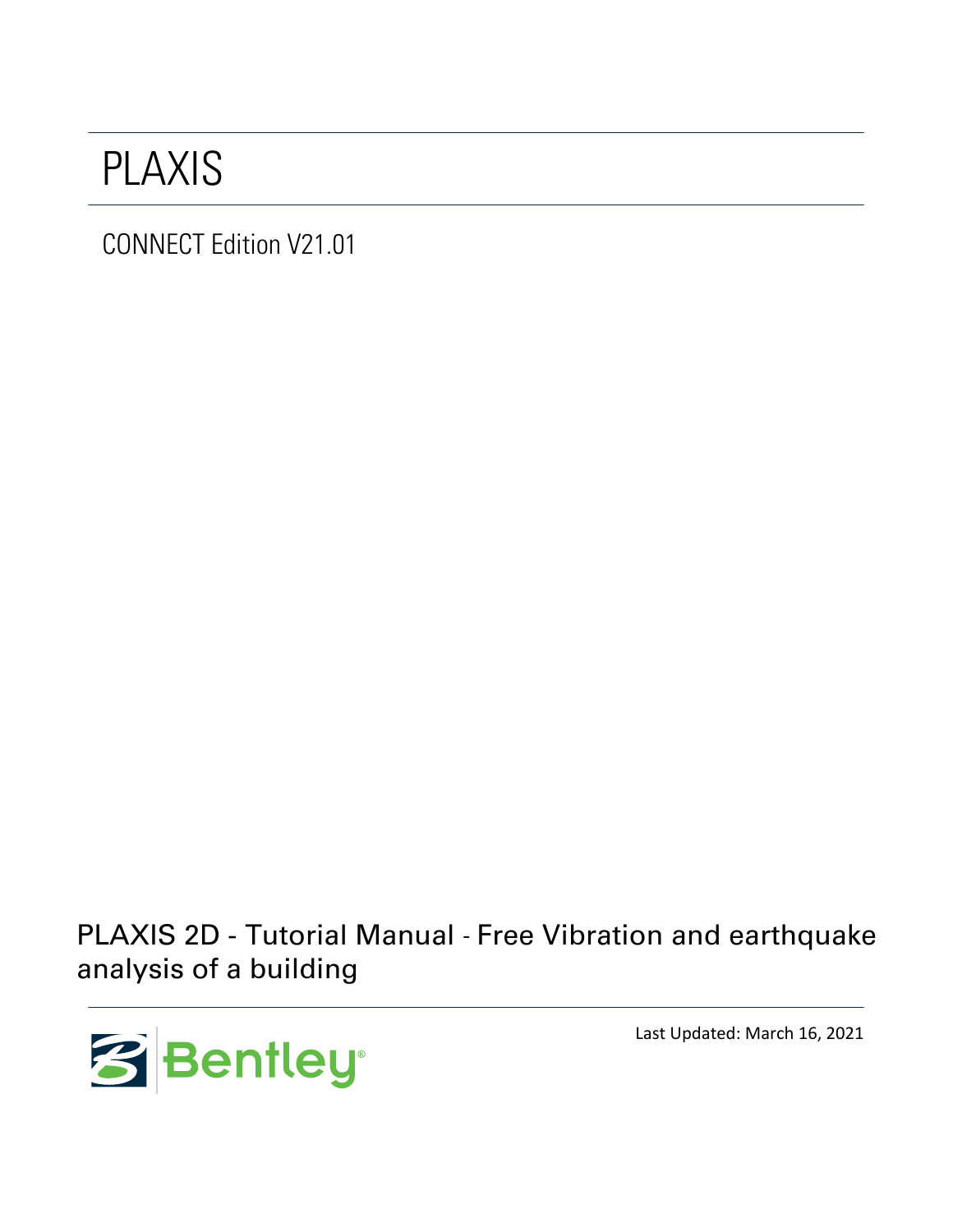## PLAXIS

CONNECT Edition V21.01

PLAXIS 2D - Tutorial Manual - Free Vibration and earthquake analysis of a building



Last Updated: March 16, 2021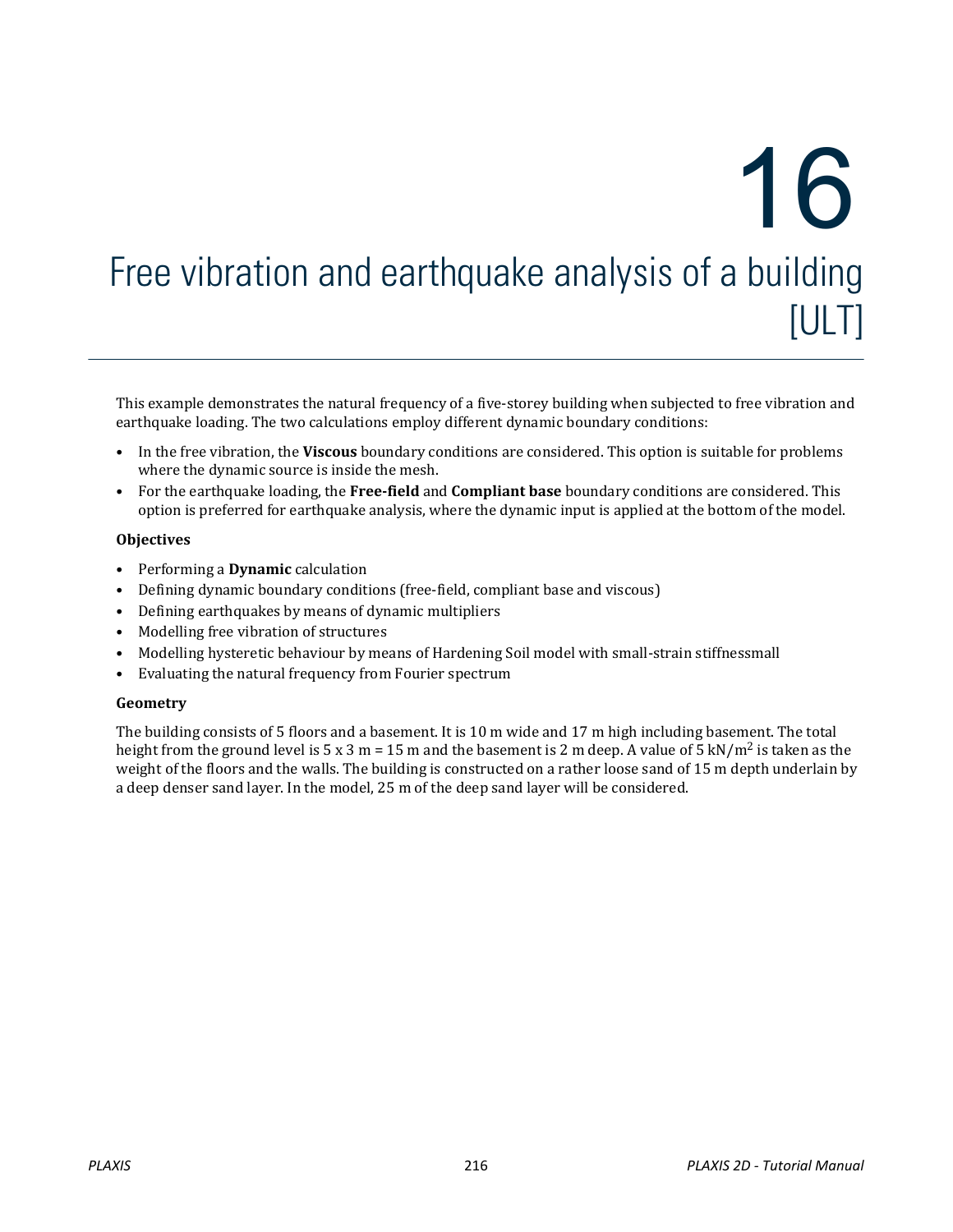# Free vibration and earthquake analysis of a building [ULT] 16

This example demonstrates the natural frequency of a five-storey building when subjected to free vibration and earthquake loading. The two calculations employ different dynamic boundary conditions:

- In the free vibration, the **Viscous** boundary conditions are considered. This option is suitable for problems where the dynamic source is inside the mesh.
- For the earthquake loading, the **Free-field** and **Compliant base** boundary conditions are considered. This option is preferred for earthquake analysis, where the dynamic input is applied at the bottom of the model.

#### **Objectives**

- Performing a **Dynamic** calculation
- Defining dynamic boundary conditions (free-field, compliant base and viscous)
- Defining earthquakes by means of dynamic multipliers
- Modelling free vibration of structures
- Modelling hysteretic behaviour by means of Hardening Soil model with small-strain stiffnessmall
- Evaluating the natural frequency from Fourier spectrum

#### **Geometry**

The building consists of 5 floors and a basement. It is 10 m wide and 17 m high including basement. The total height from the ground level is 5 x 3 m = 15 m and the basement is 2 m deep. A value of 5 kN/m<sup>2</sup> is taken as the weight of the floors and the walls. The building is constructed on a rather loose sand of 15 m depth underlain by a deep denser sand layer. In the model, 25 m of the deep sand layer will be considered.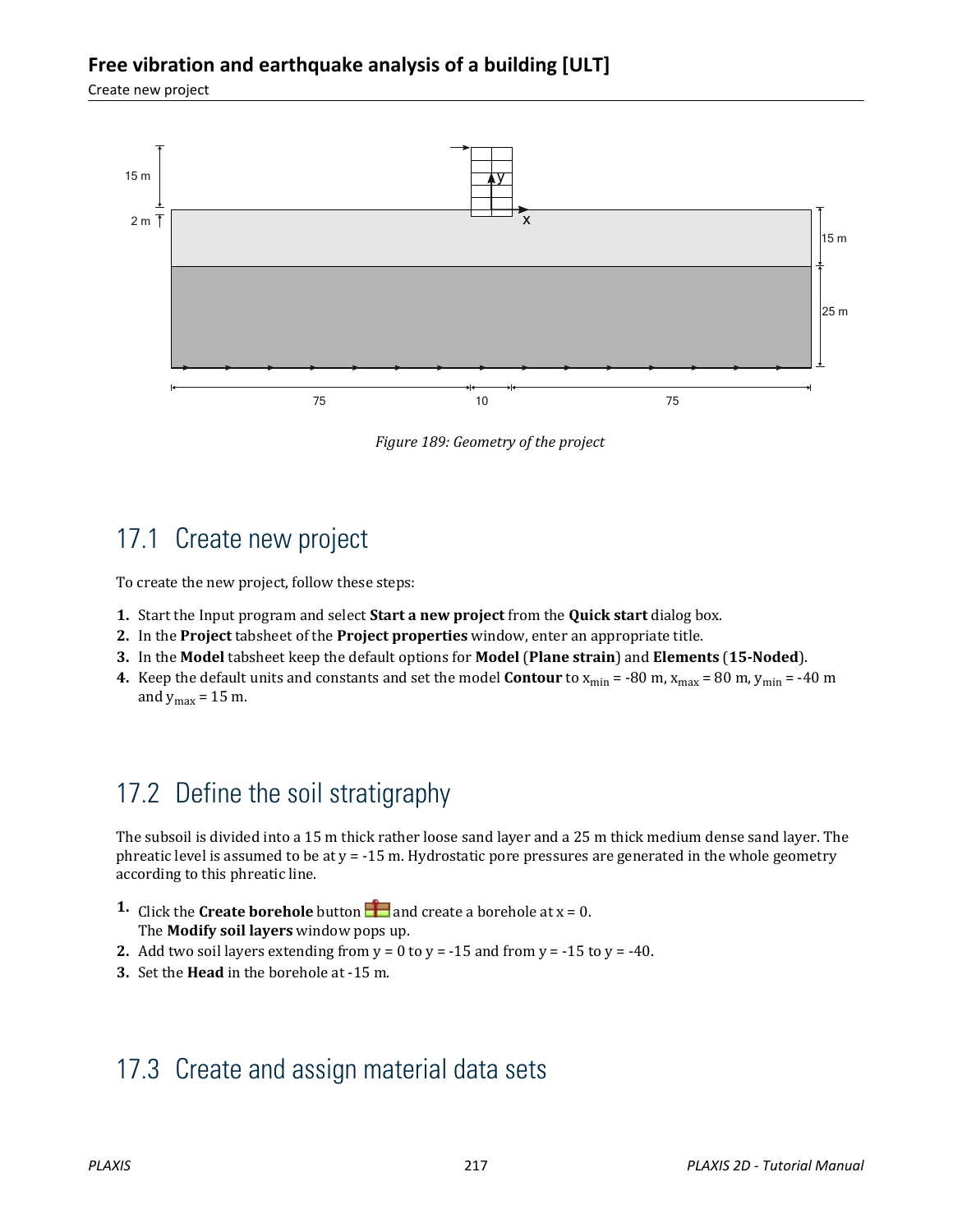#### **Free vibration and earthquake analysis of a building [ULT]**

Create new project



*Figure 189: Geometry of the project*

## 17.1 Create new project

To create the new project, follow these steps:

- **1.** Start the Input program and select **Start a new project** from the **Quick start** dialog box.
- **2.** In the **Project** tabsheet of the **Project properties** window, enter an appropriate title.
- **3.** In the **Model** tabsheet keep the default options for **Model** (**Plane strain**) and **Elements** (**15-Noded**).
- **4.** Keep the default units and constants and set the model **Contour** to  $x_{min} = -80$  m,  $x_{max} = 80$  m,  $y_{min} = -40$  m and  $y_{max} = 15$  m.

## 17.2 Define the soil stratigraphy

The subsoil is divided into a 15 m thick rather loose sand layer and a 25 m thick medium dense sand layer. The phreatic level is assumed to be at  $y = -15$  m. Hydrostatic pore pressures are generated in the whole geometry according to this phreatic line.

- **1.** Click the **Create borehole** button **a** and create a borehole at  $x = 0$ . The **Modify soil layers** window pops up.
- **2.** Add two soil layers extending from  $y = 0$  to  $y = -15$  and from  $y = -15$  to  $y = -40$ .
- **3.** Set the **Head** in the borehole at -15 m.

## 17.3 Create and assign material data sets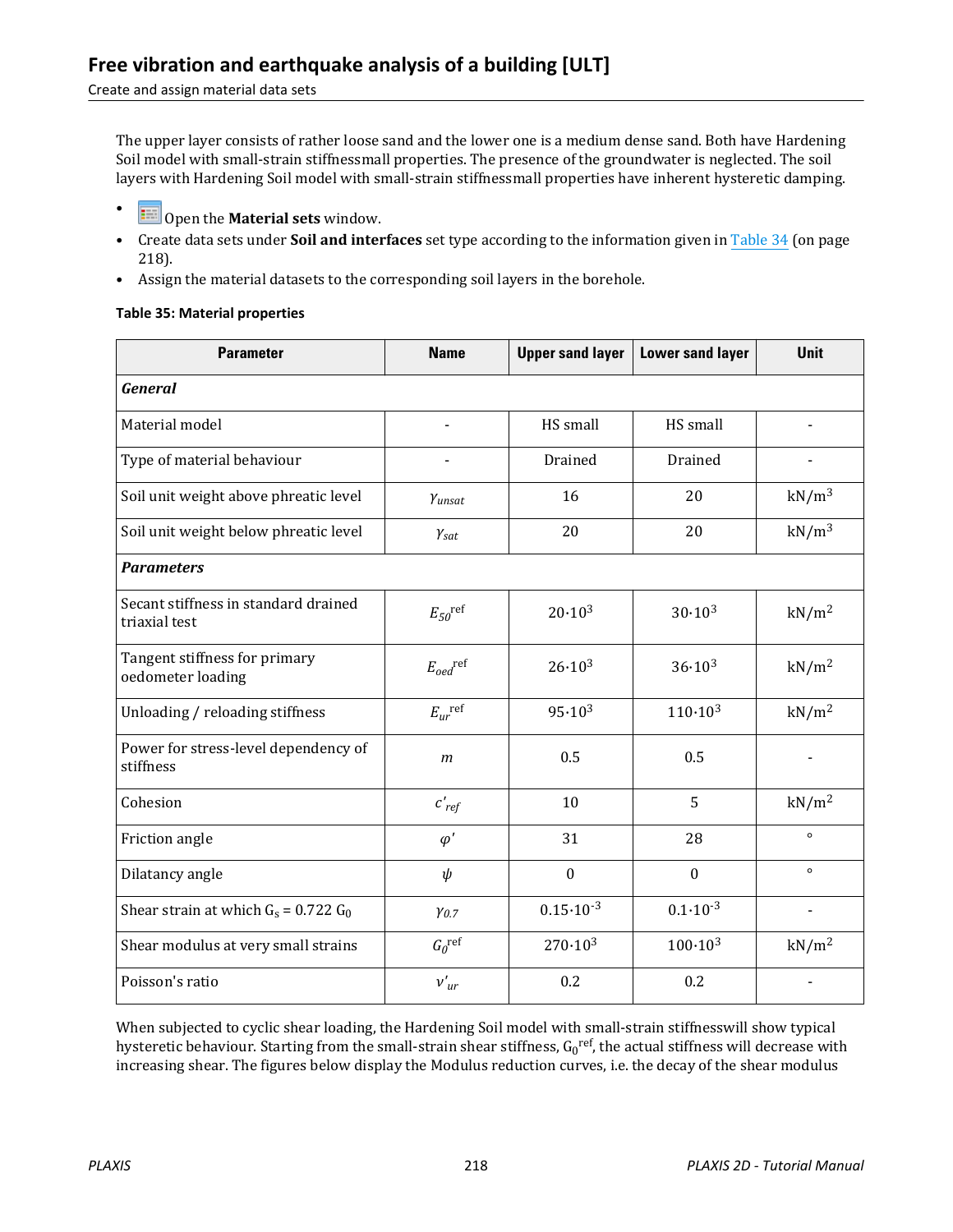#### Create and assign material data sets

The upper layer consists of rather loose sand and the lower one is a medium dense sand. Both have Hardening Soil model with small-strain stiffnessmall properties. The presence of the groundwater is neglected. The soil layers with Hardening Soil model with small-strain stiffnessmall properties have inherent hysteretic damping.

- **Example 1** Open the **Material sets** window.
- Create data sets under **Soil and interfaces** set type according to the information given in Table 34 (on page 218).
- Assign the material datasets to the corresponding soil layers in the borehole.

#### **Table 35: Material properties**

| <b>Parameter</b>                                      | <b>Name</b>                         | <b>Upper sand layer</b> | <b>Lower sand layer</b> | <b>Unit</b>       |
|-------------------------------------------------------|-------------------------------------|-------------------------|-------------------------|-------------------|
| <b>General</b>                                        |                                     |                         |                         |                   |
| Material model                                        |                                     | HS small                | HS small                |                   |
| Type of material behaviour                            | $\blacksquare$                      | Drained                 | Drained                 |                   |
| Soil unit weight above phreatic level                 | Yunsat                              | 16                      | 20                      | $kN/m^3$          |
| Soil unit weight below phreatic level                 | $\gamma_{\text{sat}}$               | 20                      | 20                      | $kN/m^3$          |
| <b>Parameters</b>                                     |                                     |                         |                         |                   |
| Secant stiffness in standard drained<br>triaxial test | $E_{50}$ <sup>ref</sup>             | $20.10^{3}$             | $30.10^{3}$             | kN/m <sup>2</sup> |
| Tangent stiffness for primary<br>oedometer loading    | $E_{oed}$ <sup>ref</sup>            | $26.10^{3}$             | $36.10^{3}$             | kN/m <sup>2</sup> |
| Unloading / reloading stiffness                       | $E_{ur}^{\quad \  \  \mathrm{ref}}$ | $95.10^{3}$             | $110 \cdot 10^{3}$      | kN/m <sup>2</sup> |
| Power for stress-level dependency of<br>stiffness     | $\boldsymbol{m}$                    | 0.5                     | 0.5                     |                   |
| Cohesion                                              | $c'_{ref}$                          | 10                      | 5                       | kN/m <sup>2</sup> |
| Friction angle                                        | $\varphi'$                          | 31                      | 28                      | $\circ$           |
| Dilatancy angle                                       | $\psi$                              | $\mathbf{0}$            | $\mathbf{0}$            | $\circ$           |
| Shear strain at which $G_s = 0.722 G_0$               | $y_{0.7}$                           | $0.15 \cdot 10^{-3}$    | $0.1 \cdot 10^{-3}$     | $\blacksquare$    |
| Shear modulus at very small strains                   | $G_0^{\text{ref}}$                  | $270 \cdot 10^3$        | $100 \cdot 10^{3}$      | kN/m <sup>2</sup> |
| Poisson's ratio                                       | $v'_{ur}$                           | 0.2                     | 0.2                     |                   |

When subjected to cyclic shear loading, the Hardening Soil model with small-strain stiffnesswill show typical hysteretic behaviour. Starting from the small-strain shear stiffness, G<sub>0</sub>r<sup>ef</sup>, the actual stiffness will decrease with increasing shear. The figures below display the Modulus reduction curves, i.e. the decay of the shear modulus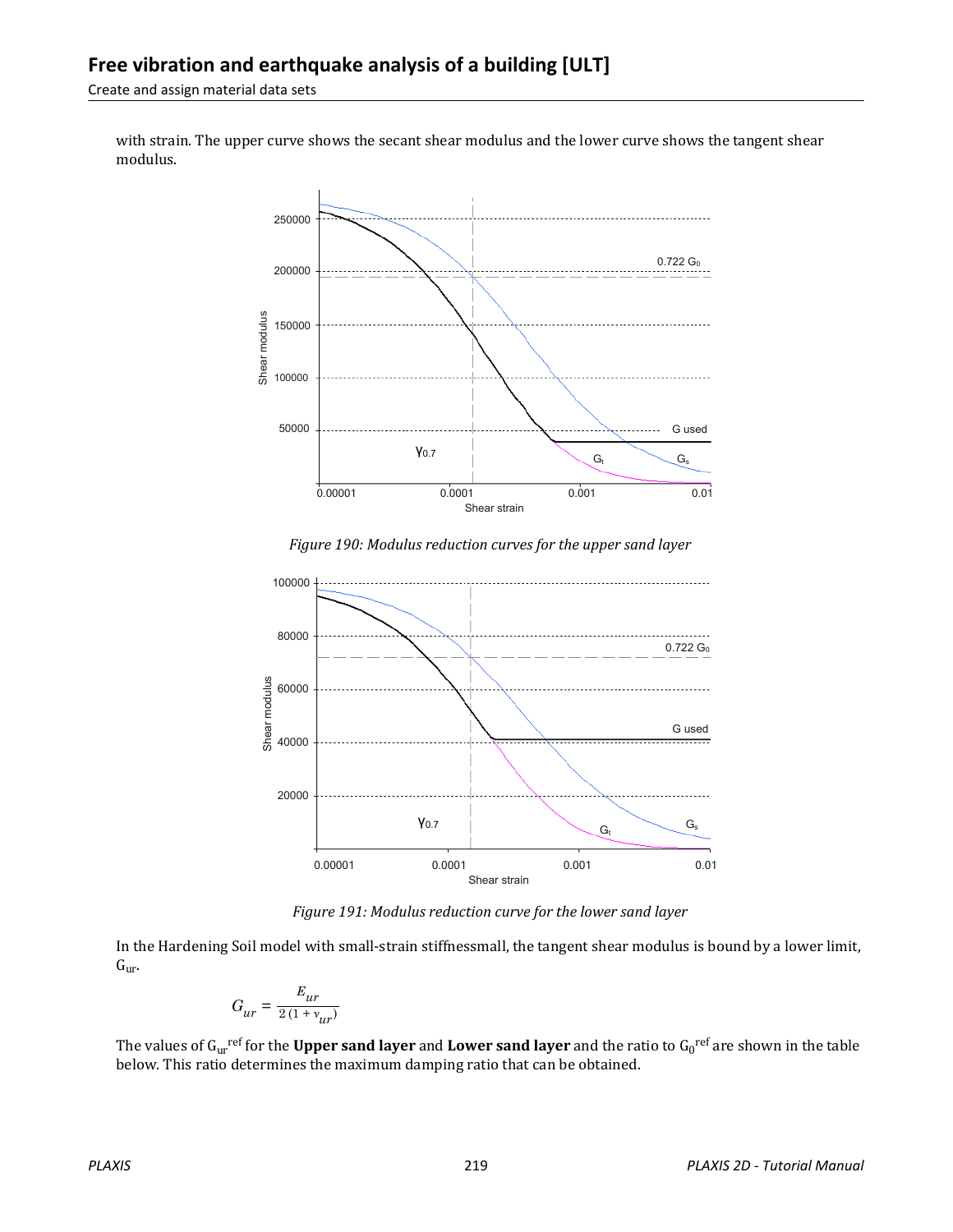Create and assign material data sets

with strain. The upper curve shows the secant shear modulus and the lower curve shows the tangent shear modulus.



*Figure 190: Modulus reduction curves for the upper sand layer*



*Figure 191: Modulus reduction curve for the lower sand layer*

In the Hardening Soil model with small-strain stiffnessmall, the tangent shear modulus is bound by a lower limit,  $G_{\text{ur}}$ .

$$
G_{ur}=\frac{E_{ur}}{2\left(1+\textit{v}_{ur}\right)}
$$

The values of G<sub>ur</sub><sup>ref</sup> for the **Upper sand layer** and **Lower sand layer** and the ratio to G<sub>0</sub><sup>ref</sup> are shown in the table below. This ratio determines the maximum damping ratio that can be obtained.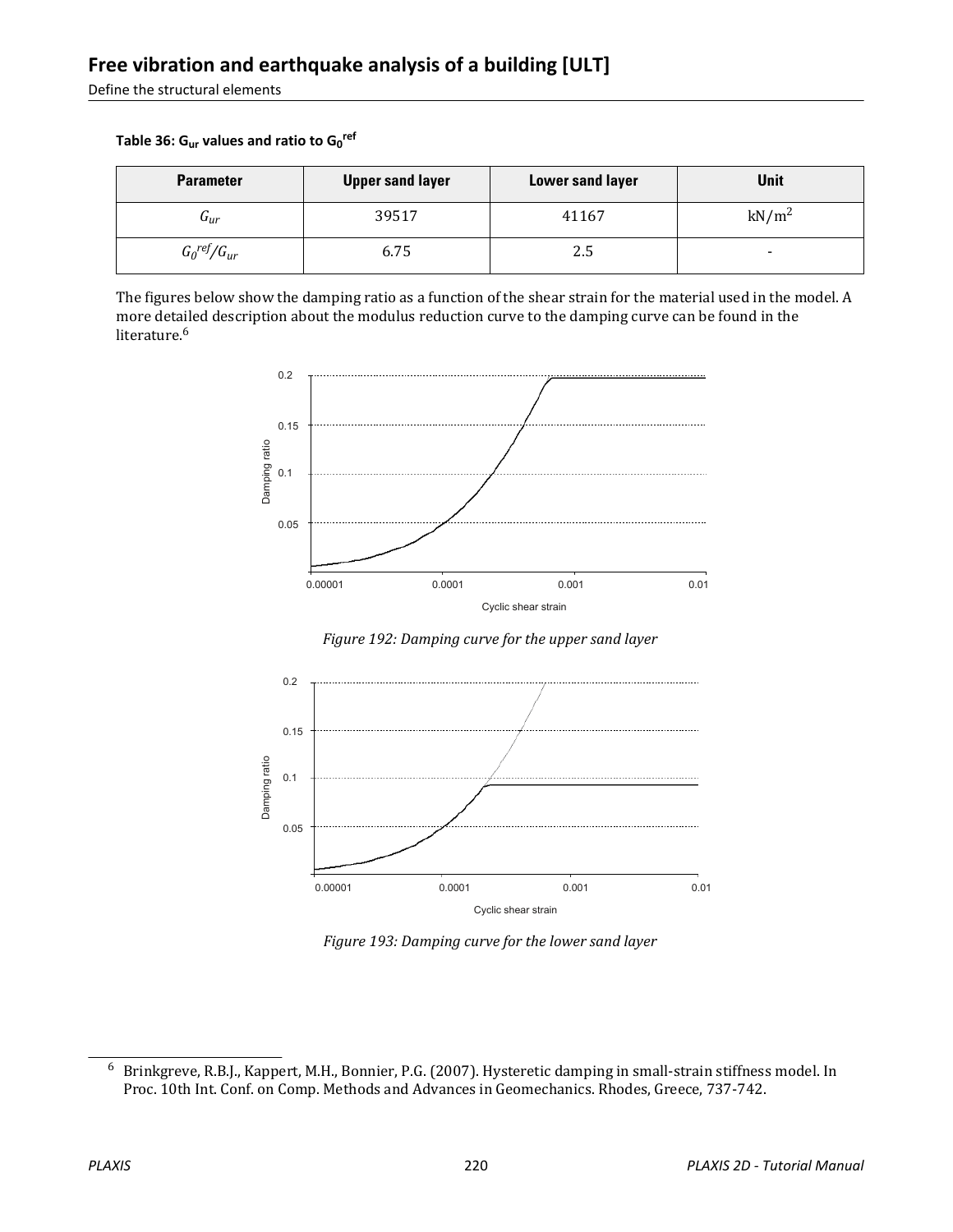Define the structural elements

**Table 36: Gur values and ratio to G<sup>0</sup> ref**

| <b>Parameter</b>          | <b>Upper sand layer</b> | <b>Lower sand layer</b> | Unit              |
|---------------------------|-------------------------|-------------------------|-------------------|
| $\mathbf{u}_{ur}$         | 39517                   | 41167                   | kN/m <sup>2</sup> |
| $G_0^{\text{ref}}/G_{ur}$ | 6.75                    | 2.5                     | -                 |

The figures below show the damping ratio as a function of the shear strain for the material used in the model. A more detailed description about the modulus reduction curve to the damping curve can be found in the literature.<sup>6</sup>



*Figure 192: Damping curve for the upper sand layer*



*Figure 193: Damping curve for the lower sand layer*

<sup>6</sup> Brinkgreve, R.B.J., Kappert, M.H., Bonnier, P.G. (2007). Hysteretic damping in small-strain stiffness model. In Proc. 10th Int. Conf. on Comp. Methods and Advances in Geomechanics. Rhodes, Greece, 737-742.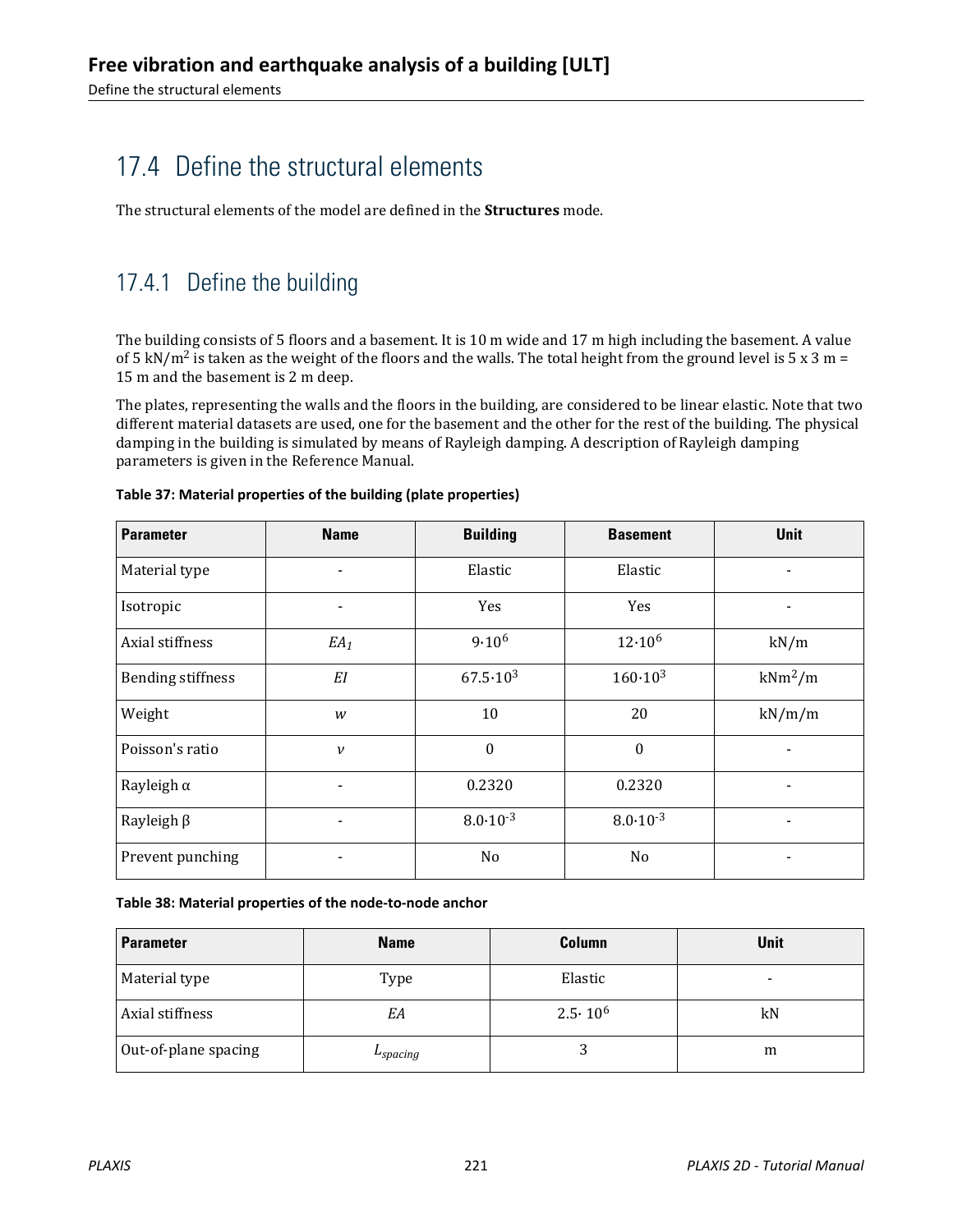## <span id="page-6-0"></span>17.4 Define the structural elements

The structural elements of the model are defined in the **Structures** mode.

## 17.4.1 Define the building

The building consists of 5 floors and a basement. It is 10 m wide and 17 m high including the basement. A value of 5 kN/m<sup>2</sup> is taken as the weight of the floors and the walls. The total height from the ground level is 5 x 3 m = 15 m and the basement is 2 m deep.

The plates, representing the walls and the floors in the building, are considered to be linear elastic. Note that two different material datasets are used, one for the basement and the other for the rest of the building. The physical damping in the building is simulated by means of Rayleigh damping. A description of Rayleigh damping parameters is given in the Reference Manual.

| <b>Parameter</b>         | <b>Name</b>              | <b>Building</b>     | <b>Basement</b>     | Unit                     |
|--------------------------|--------------------------|---------------------|---------------------|--------------------------|
| Material type            |                          | Elastic             | Elastic             |                          |
| Isotropic                | $\overline{\phantom{a}}$ | Yes                 | Yes                 | $\overline{\phantom{0}}$ |
| Axial stiffness          | $EA_1$                   | $9.10^{6}$          | $12.10^{6}$         | kN/m                     |
| <b>Bending stiffness</b> | EI                       | $67.5 \cdot 10^3$   | $160 \cdot 10^{3}$  | $kNm^2/m$                |
| Weight                   | w                        | 10                  | 20                  | kN/m/m                   |
| Poisson's ratio          | $\mathcal V$             | $\theta$            | $\mathbf{0}$        |                          |
| Rayleigh $\alpha$        | -                        | 0.2320              | 0.2320              |                          |
| Rayleigh $\beta$         | $\overline{\phantom{a}}$ | $8.0 \cdot 10^{-3}$ | $8.0 \cdot 10^{-3}$ |                          |
| Prevent punching         | ٠                        | N <sub>0</sub>      | N <sub>0</sub>      | -                        |

#### **Table 37: Material properties of the building (plate properties)**

**Table 38: Material properties of the node-to-node anchor**

| <b>Parameter</b>     | <b>Name</b> | <b>Column</b>    | <b>Unit</b> |
|----------------------|-------------|------------------|-------------|
| Material type        | Type        | Elastic          | -           |
| Axial stiffness      | EΑ          | $2.5 \cdot 10^6$ | kN          |
| Out-of-plane spacing | 'spacing    |                  | m           |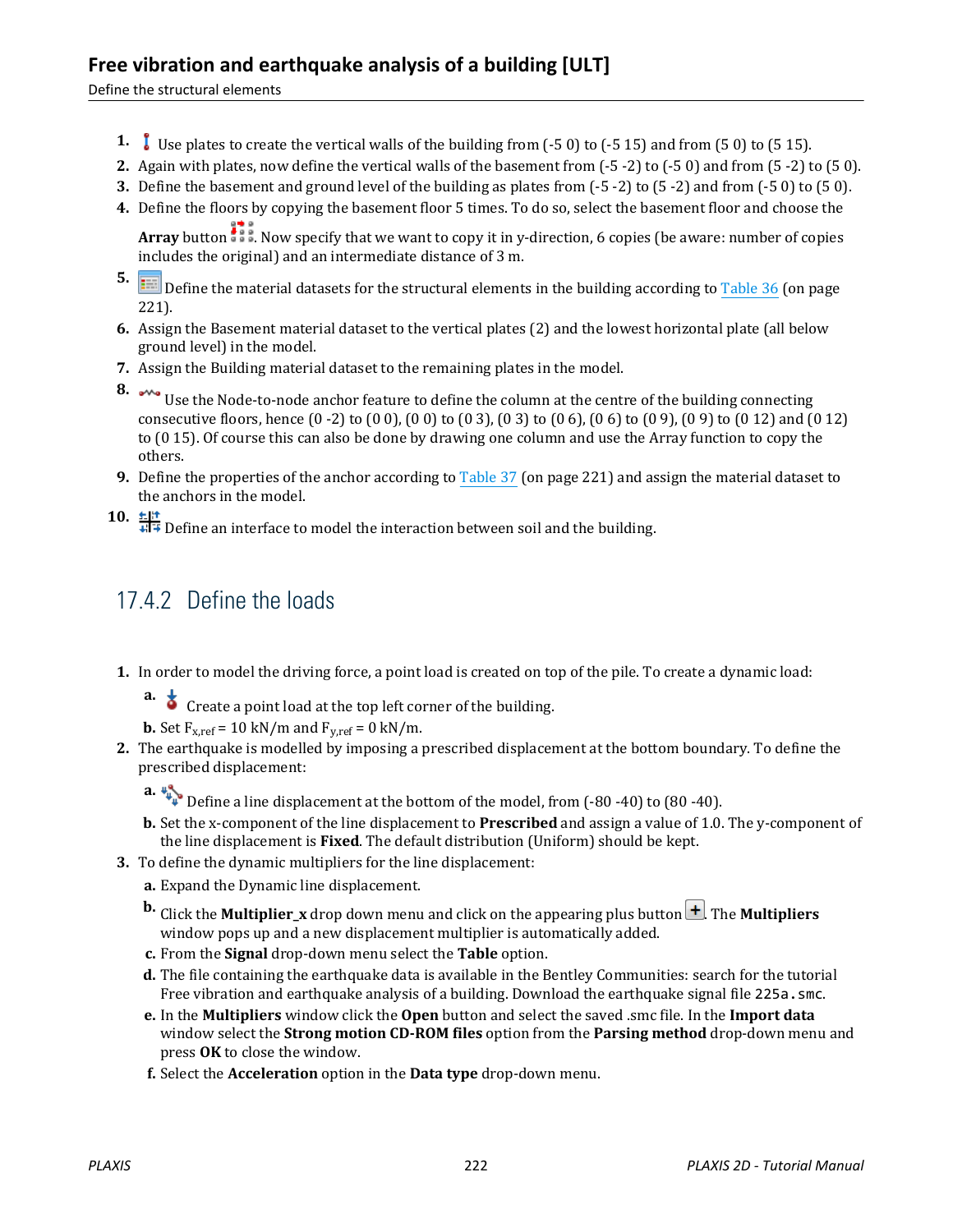#### **Free vibration and earthquake analysis of a building [ULT]**

Define the structural elements

- **1.** Use plates to create the vertical walls of the building from (-5 0) to (-5 15) and from (5 0) to (5 15).
- **2.** Again with plates, now define the vertical walls of the basement from (-5 -2) to (-5 0) and from (5 -2) to (5 0).
- **3.** Define the basement and ground level of the building as plates from (-5 -2) to (5 -2) and from (-5 0) to (5 0).
- **4.** Define the floors by copying the basement floor 5 times. To do so, select the basement floor and choose the

**Array** button  $\frac{1}{2}$ . Now specify that we want to copy it in y-direction, 6 copies (be aware: number of copies includes the original) and an intermediate distance of 3 m.

- **5. If the Define the material datasets for the structural elements in the building according to [Table 36](#page-6-0) (on page** 221).
- **6.** Assign the Basement material dataset to the vertical plates (2) and the lowest horizontal plate (all below ground level) in the model.
- **7.** Assign the Building material dataset to the remaining plates in the model.
- 

**8.** Use the Node-to-node anchor feature to define the column at the centre of the building connecting consecutive floors, hence (0 -2) to (0 0), (0 0) to (0 3), (0 3) to (0 6), (0 6) to (0 9), (0 9) to (0 12) and (0 12) to (0 15). Of course this can also be done by drawing one column and use the Array function to copy the others.

- **9.** Define the properties of the anchor according to [Table 37](#page-6-0) (on page 221) and assign the material dataset to the anchors in the model.
- 10.  $\frac{16!}{4!}$  Define an interface to model the interaction between soil and the building.

#### 17.4.2 Define the loads

- **1.** In order to model the driving force, a point load is created on top of the pile. To create a dynamic load:
	- **a.**  $\bullet$  Create a point load at the top left corner of the building.

**b.** Set  $F_{x,ref} = 10 \text{ kN/m}$  and  $F_{y,ref} = 0 \text{ kN/m}$ .

- **2.** The earthquake is modelled by imposing a prescribed displacement at the bottom boundary. To define the prescribed displacement:
	- **a.**  $\downarrow\downarrow\downarrow\downarrow$  Define a line displacement at the bottom of the model, from (-80 -40) to (80 -40).
	- **b.** Set the x-component of the line displacement to **Prescribed** and assign a value of 1.0. The y-component of the line displacement is **Fixed**. The default distribution (Uniform) should be kept.
- **3.** To define the dynamic multipliers for the line displacement:
	- **a.** Expand the Dynamic line displacement.
	- **b.** Click the **Multiplier** x drop down menu and click on the appearing plus button  $\pm$ . The **Multipliers** window pops up and a new displacement multiplier is automatically added.
	- **c.** From the **Signal** drop-down menu select the **Table** option.
	- **d.** The file containing the earthquake data is available in the Bentley Communities: search for the tutorial Free vibration and earthquake analysis of a building. Download the earthquake signal file 225a.smc.
	- **e.** In the **Multipliers** window click the **Open** button and select the saved .smc file. In the **Import data** window select the **Strong motion CD-ROM files** option from the **Parsing method** drop-down menu and press **OK** to close the window.
	- **f.** Select the **Acceleration** option in the **Data type** drop-down menu.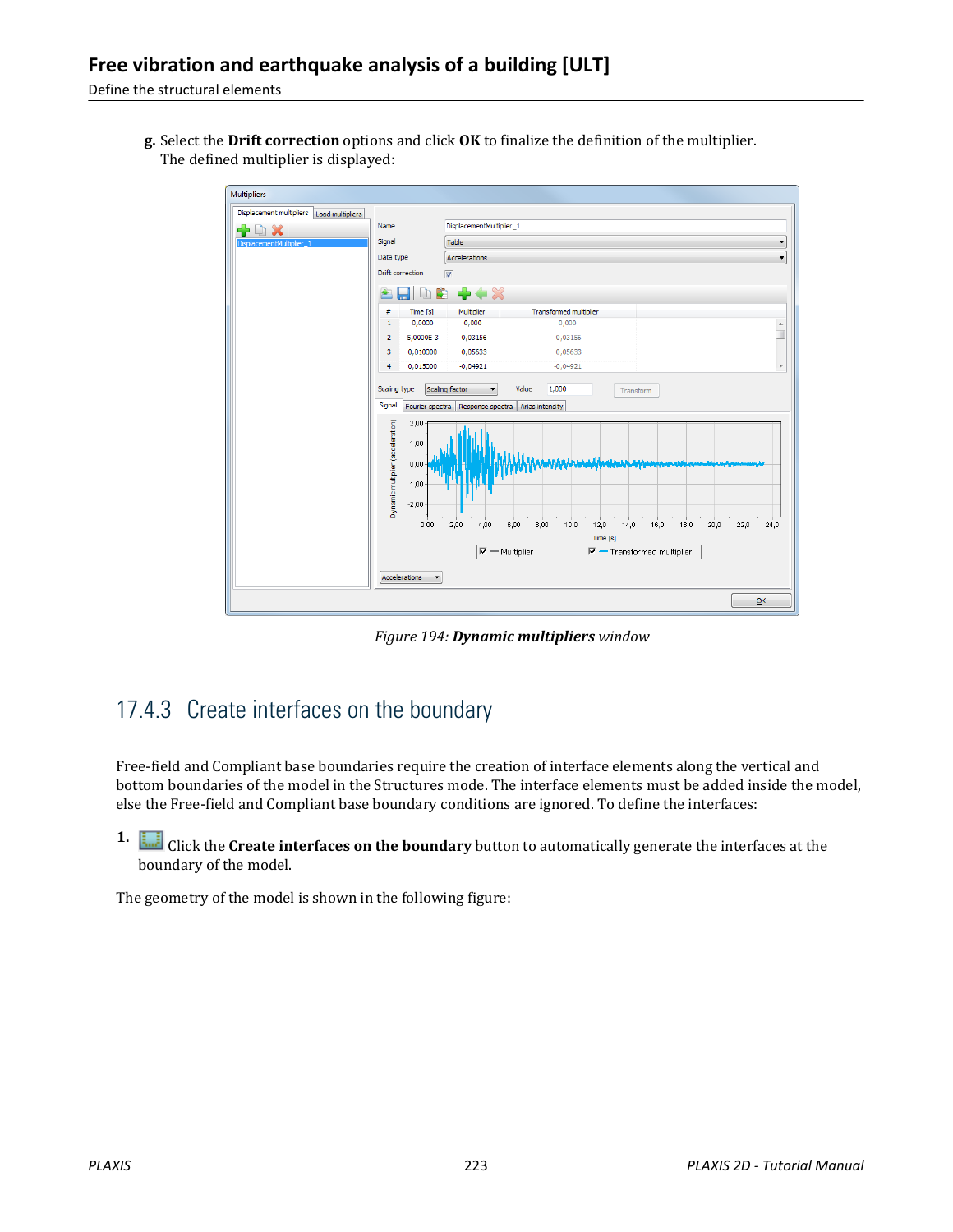Define the structural elements

**g.** Select the **Drift correction** options and click **OK** to finalize the definition of the multiplier. The defined multiplier is displayed:



*Figure 194: Dynamic multipliers window*

#### 17.4.3 Create interfaces on the boundary

Free-field and Compliant base boundaries require the creation of interface elements along the vertical and bottom boundaries of the model in the Structures mode. The interface elements must be added inside the model, else the Free-field and Compliant base boundary conditions are ignored. To define the interfaces:

**1.** Click the **Create interfaces on the boundary** button to automatically generate the interfaces at the boundary of the model.

The geometry of the model is shown in the following figure: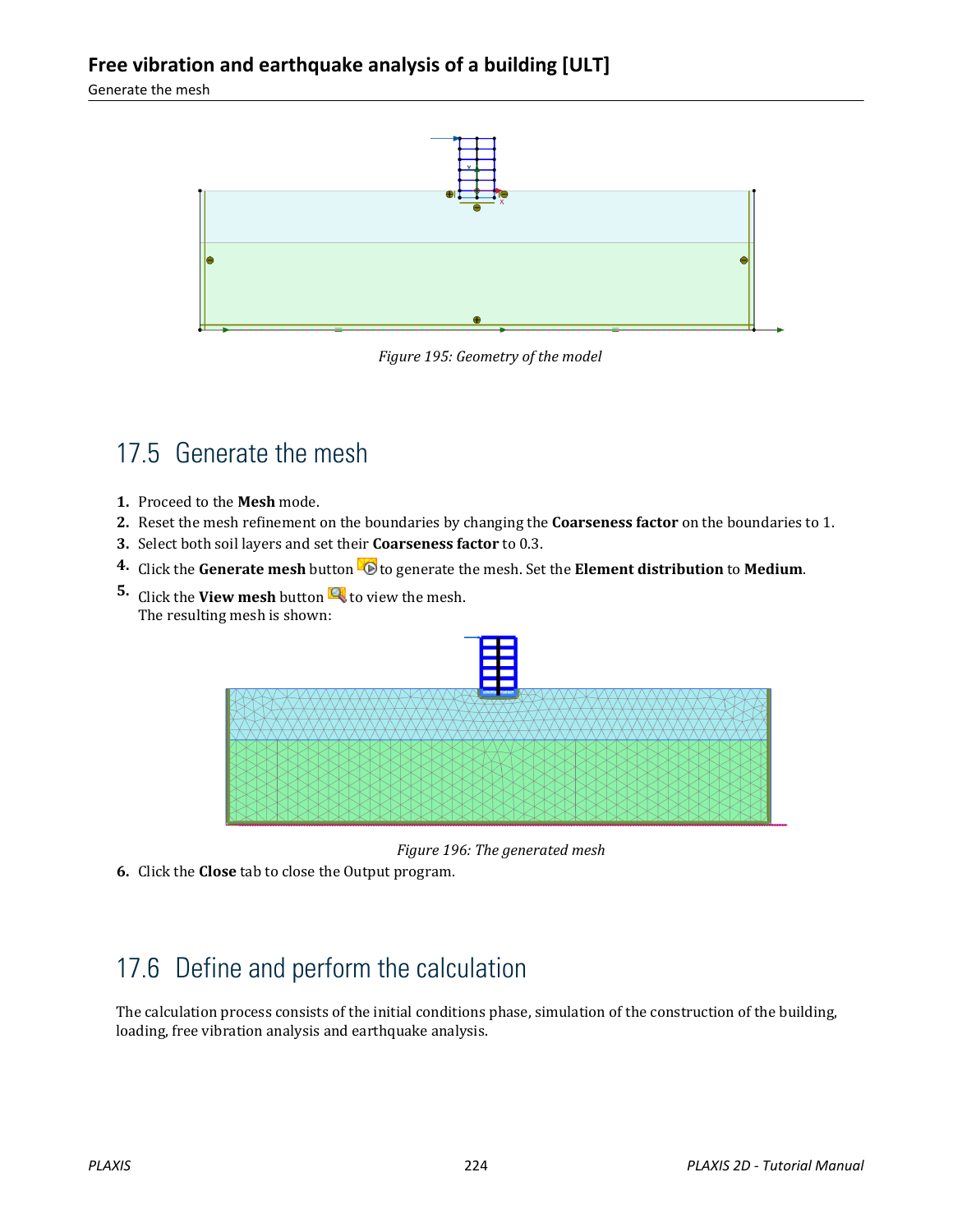Generate the mesh



*Figure 195: Geometry of the model*

## 17.5 Generate the mesh

- **1.** Proceed to the **Mesh** mode.
- **2.** Reset the mesh refinement on the boundaries by changing the **Coarseness factor** on the boundaries to 1.
- **3.** Select both soil layers and set their **Coarseness factor** to 0.3.
- **4.** Click the **Generate mesh** button **the understance of the mesh.** Set the **Element distribution** to **Medium**.
- **5.** Click the **View mesh** button **the view the mesh.** The resulting mesh is shown:



*Figure 196: The generated mesh*

**6.** Click the **Close** tab to close the Output program.

## 17.6 Define and perform the calculation

The calculation process consists of the initial conditions phase, simulation of the construction of the building, loading, free vibration analysis and earthquake analysis.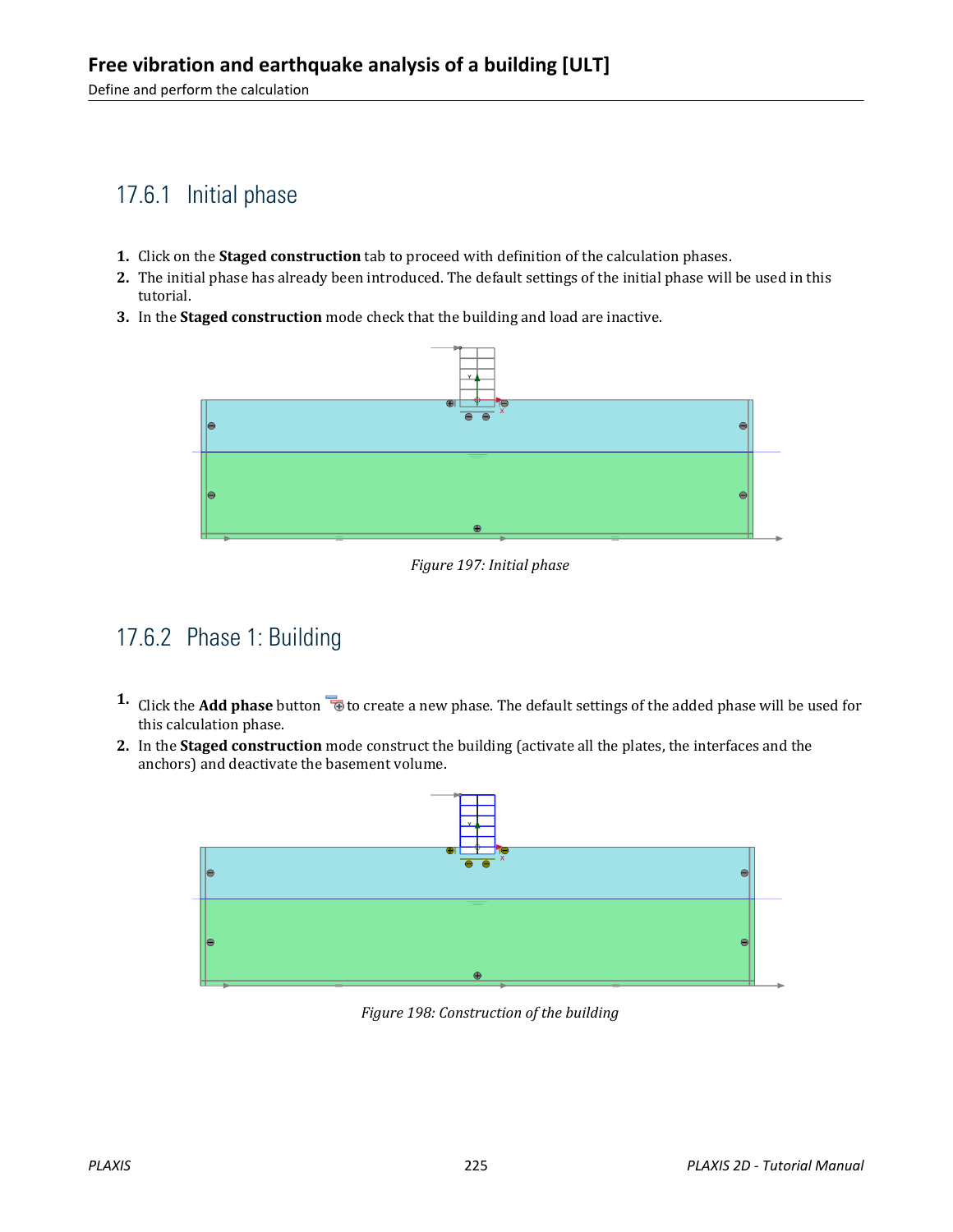Define and perform the calculation

## 17.6.1 Initial phase

- **1.** Click on the **Staged construction** tab to proceed with definition of the calculation phases.
- **2.** The initial phase has already been introduced. The default settings of the initial phase will be used in this tutorial.
- **3.** In the **Staged construction** mode check that the building and load are inactive.



*Figure 197: Initial phase*

#### 17.6.2 Phase 1: Building

- **1.** Click the **Add phase** button **the set of create a new phase. The default settings of the added phase will be used for** this calculation phase.
- **2.** In the **Staged construction** mode construct the building (activate all the plates, the interfaces and the anchors) and deactivate the basement volume.



*Figure 198: Construction of the building*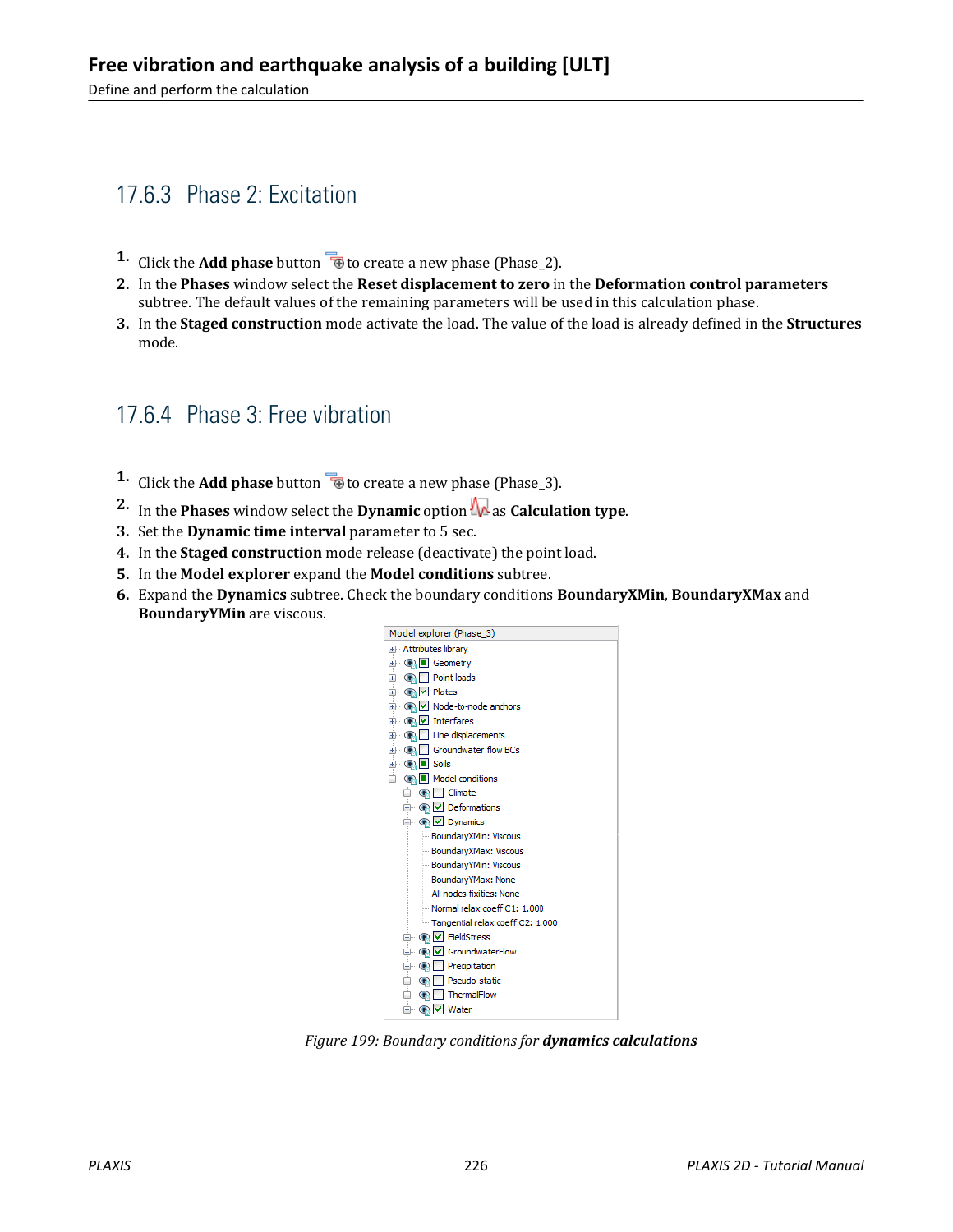Define and perform the calculation

## 17.6.3 Phase 2: Excitation

- **1.** Click the **Add phase** button  $\overline{\mathbf{B}}$  to create a new phase (Phase 2).
- **2.** In the **Phases** window select the **Reset displacement to zero** in the **Deformation control parameters** subtree. The default values of the remaining parameters will be used in this calculation phase.
- **3.** In the **Staged construction** mode activate the load. The value of the load is already defined in the **Structures** mode.

#### 17.6.4 Phase 3: Free vibration

- **1.** Click the **Add phase** button **to** to create a new phase (Phase<sub>13</sub>).
- **2.** In the **Phases** window select the **Dynamic** option  $\mathbf{R}$  as **Calculation type**.
- **3.** Set the **Dynamic time interval** parameter to 5 sec.
- **4.** In the **Staged construction** mode release (deactivate) the point load.
- **5.** In the **Model explorer** expand the **Model conditions** subtree.
- **6.** Expand the **Dynamics** subtree. Check the boundary conditions **BoundaryXMin**, **BoundaryXMax** and **BoundaryYMin** are viscous.



*Figure 199: Boundary conditions for dynamics calculations*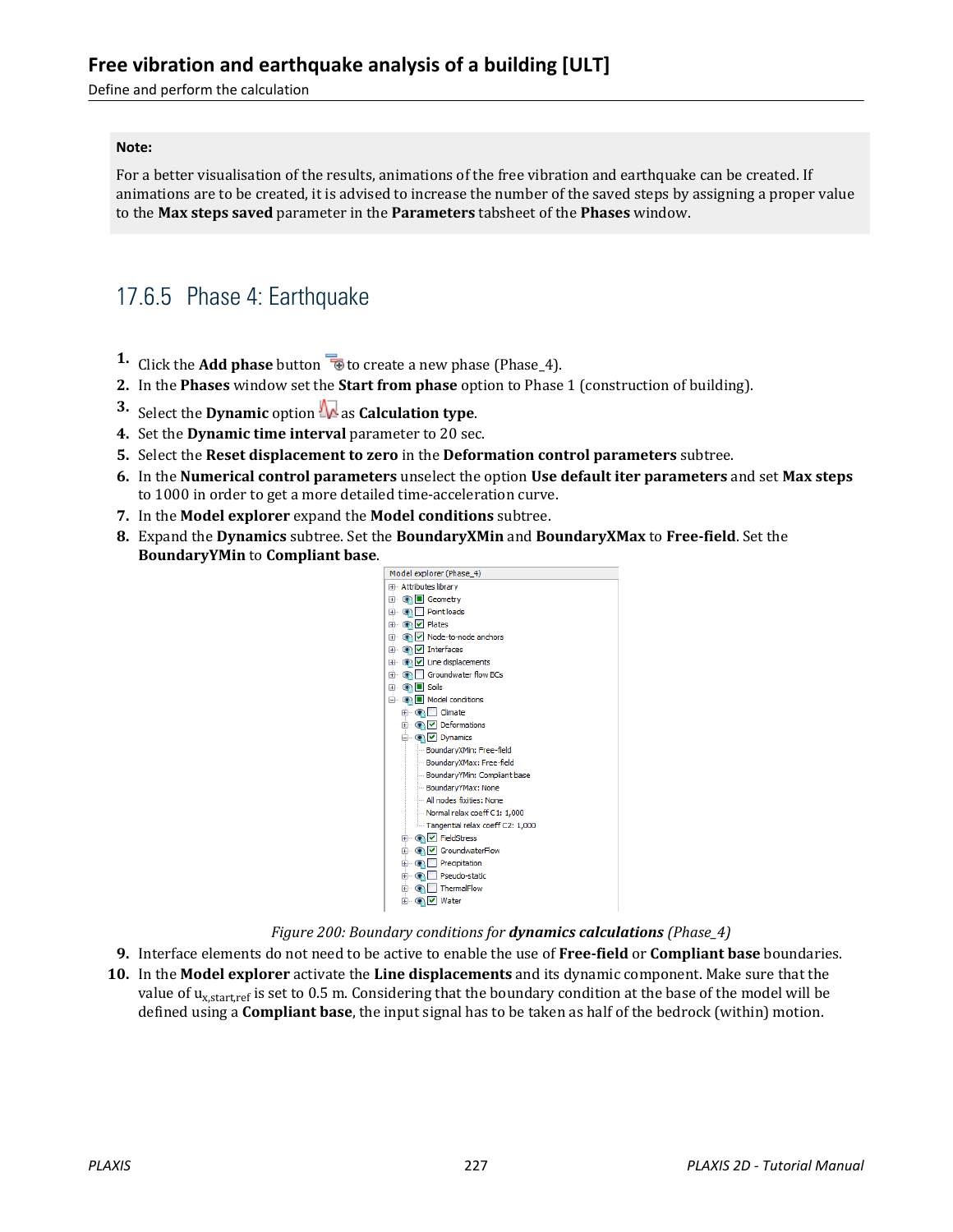#### **Free vibration and earthquake analysis of a building [ULT]**

Define and perform the calculation

#### **Note:**

For a better visualisation of the results, animations of the free vibration and earthquake can be created. If animations are to be created, it is advised to increase the number of the saved steps by assigning a proper value to the **Max steps saved** parameter in the **Parameters** tabsheet of the **Phases** window.

#### 17.6.5 Phase 4: Earthquake

- **1.** Click the **Add phase** button **the create a new phase (Phase\_4).**
- **2.** In the **Phases** window set the **Start from phase** option to Phase 1 (construction of building).
- **3.** Select the **Dynamic** option  $\mathbf{N}$  as **Calculation type**.
- **4.** Set the **Dynamic time interval** parameter to 20 sec.
- **5.** Select the **Reset displacement to zero** in the **Deformation control parameters** subtree.
- **6.** In the **Numerical control parameters** unselect the option **Use default iter parameters** and set **Max steps** to 1000 in order to get a more detailed time-acceleration curve.
- **7.** In the **Model explorer** expand the **Model conditions** subtree.
- **8.** Expand the **Dynamics** subtree. Set the **BoundaryXMin** and **BoundaryXMax** to **Free-field**. Set the **BoundaryYMin** to **Compliant base**.



*Figure 200: Boundary conditions for dynamics calculations (Phase\_4)*

- **9.** Interface elements do not need to be active to enable the use of **Free-field** or **Compliant base** boundaries.
- **10.** In the **Model explorer** activate the **Line displacements** and its dynamic component. Make sure that the value of u<sub>x,start,ref</sub> is set to 0.5 m. Considering that the boundary condition at the base of the model will be defined using a **Compliant base**, the input signal has to be taken as half of the bedrock (within) motion.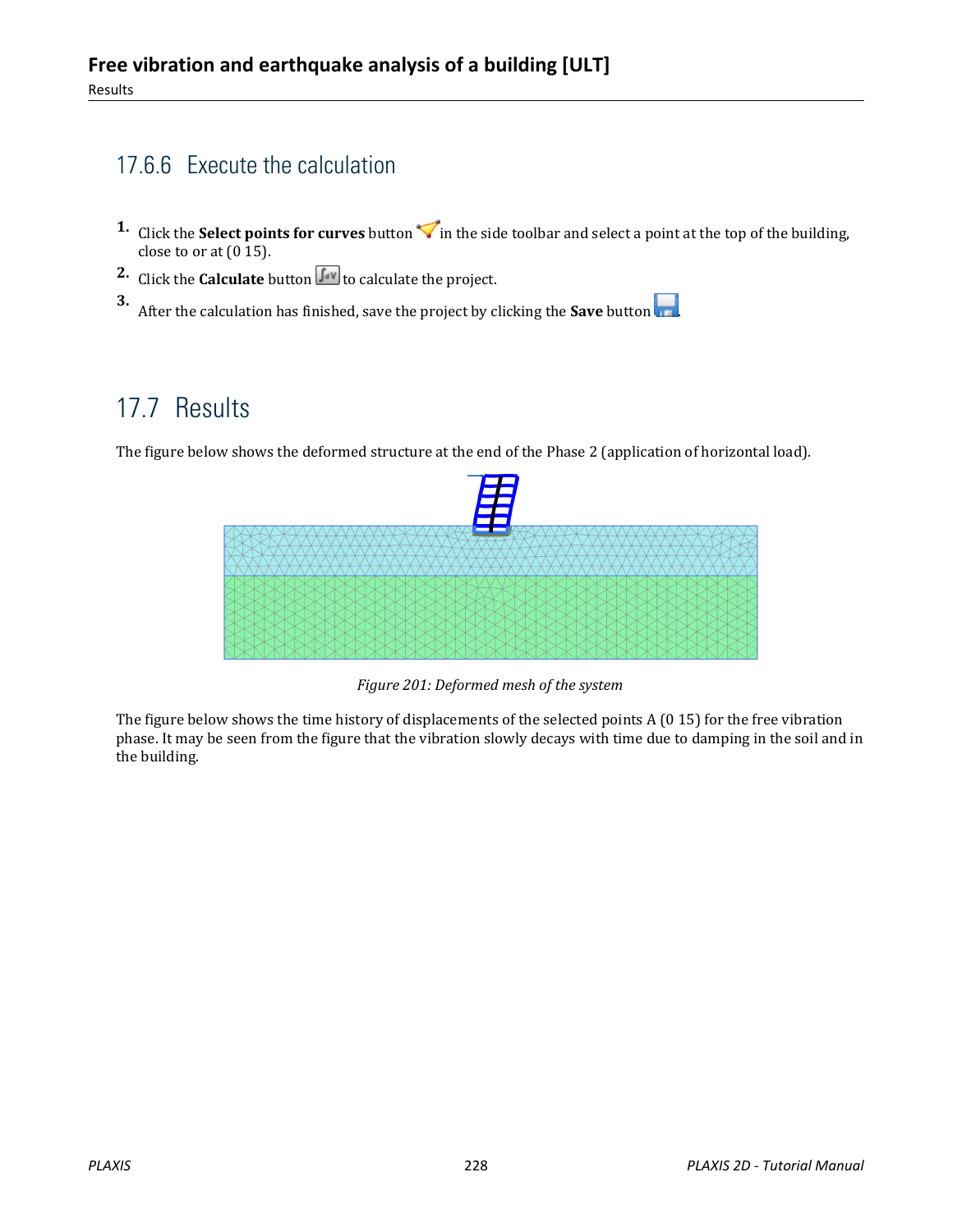## 17.6.6 Execute the calculation

- **1.** Click the **Select points for curves** button  $\triangledown$  in the side toolbar and select a point at the top of the building, close to or at  $(0, 15)$ .
- **2.** Click the **Calculate** button  $\int_{0}^{\infty}$  to calculate the project.

**3.** After the calculation has finished, save the project by clicking the **Save** button .

## 17.7 Results

The figure below shows the deformed structure at the end of the Phase 2 (application of horizontal load).



*Figure 201: Deformed mesh of the system*

The figure below shows the time history of displacements of the selected points A (0 15) for the free vibration phase. It may be seen from the figure that the vibration slowly decays with time due to damping in the soil and in the building.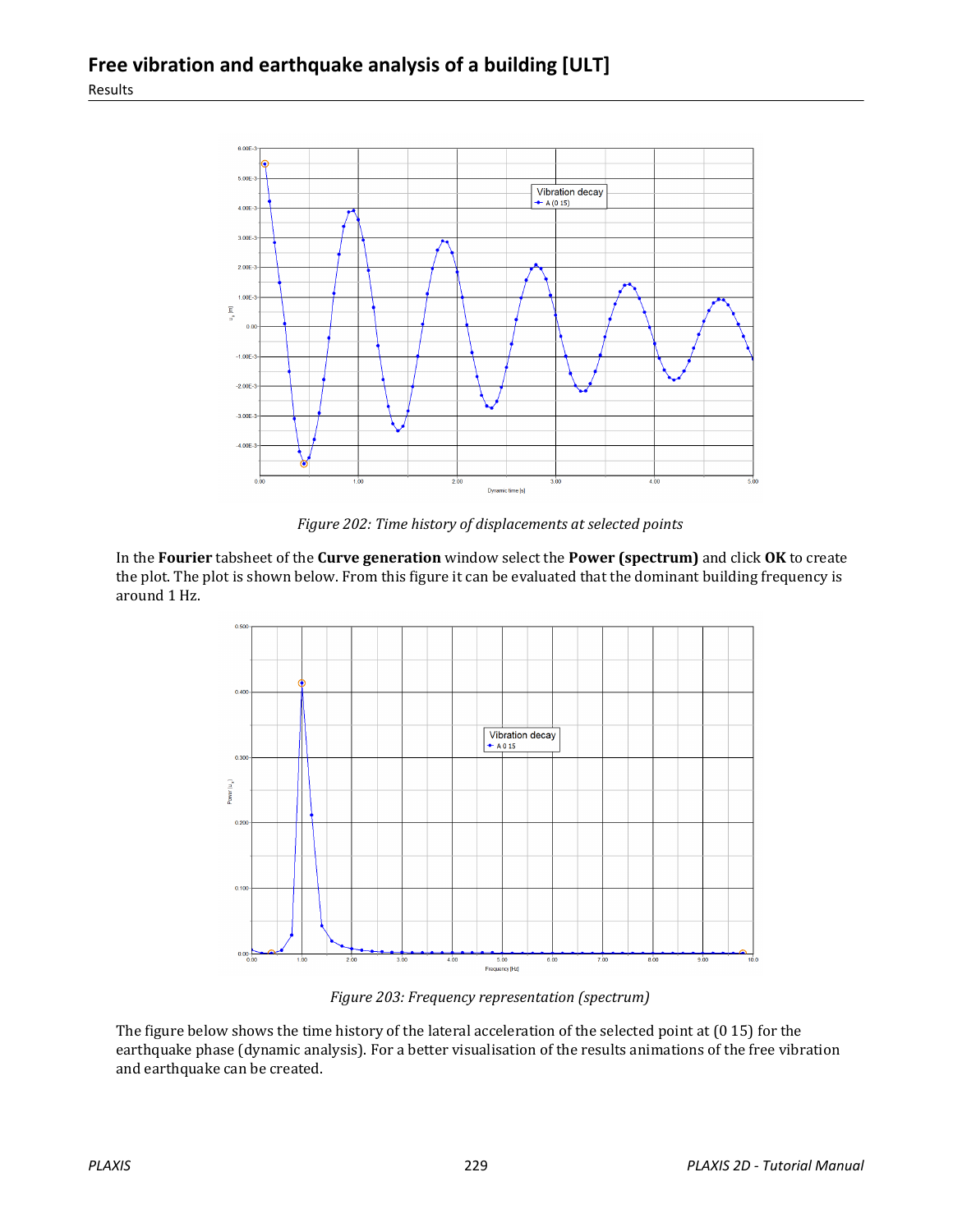

*Figure 202: Time history of displacements at selected points*

In the **Fourier** tabsheet of the **Curve generation** window select the **Power (spectrum)** and click **OK** to create the plot. The plot is shown below. From this figure it can be evaluated that the dominant building frequency is around 1 Hz.



*Figure 203: Frequency representation (spectrum)*

The figure below shows the time history of the lateral acceleration of the selected point at (0 15) for the earthquake phase (dynamic analysis). For a better visualisation of the results animations of the free vibration and earthquake can be created.